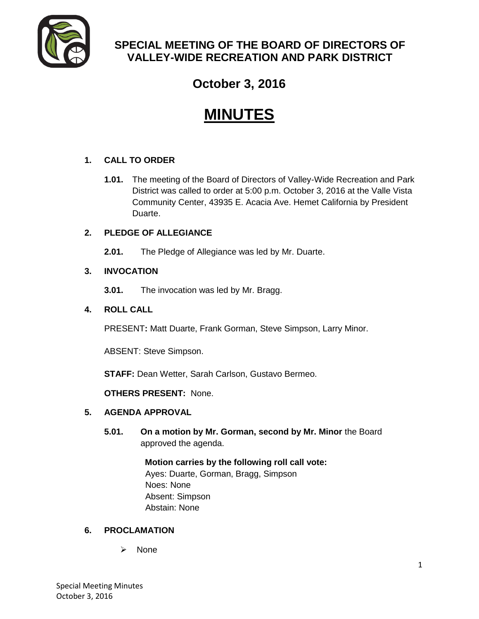

# **SPECIAL MEETING OF THE BOARD OF DIRECTORS OF VALLEY-WIDE RECREATION AND PARK DISTRICT**

# **October 3, 2016**

# **MINUTES**

# **1. CALL TO ORDER**

**1.01.** The meeting of the Board of Directors of Valley-Wide Recreation and Park District was called to order at 5:00 p.m. October 3, 2016 at the Valle Vista Community Center, 43935 E. Acacia Ave. Hemet California by President Duarte.

# **2. PLEDGE OF ALLEGIANCE**

**2.01.** The Pledge of Allegiance was led by Mr. Duarte.

# **3. INVOCATION**

**3.01.** The invocation was led by Mr. Bragg.

## **4. ROLL CALL**

PRESENT**:** Matt Duarte, Frank Gorman, Steve Simpson, Larry Minor.

ABSENT: Steve Simpson.

**STAFF:** Dean Wetter, Sarah Carlson, Gustavo Bermeo.

**OTHERS PRESENT:** None.

## **5. AGENDA APPROVAL**

**5.01. On a motion by Mr. Gorman, second by Mr. Minor** the Board approved the agenda.

> **Motion carries by the following roll call vote:**  Ayes: Duarte, Gorman, Bragg, Simpson Noes: None Absent: Simpson Abstain: None

## **6. PROCLAMATION**

 $\triangleright$  None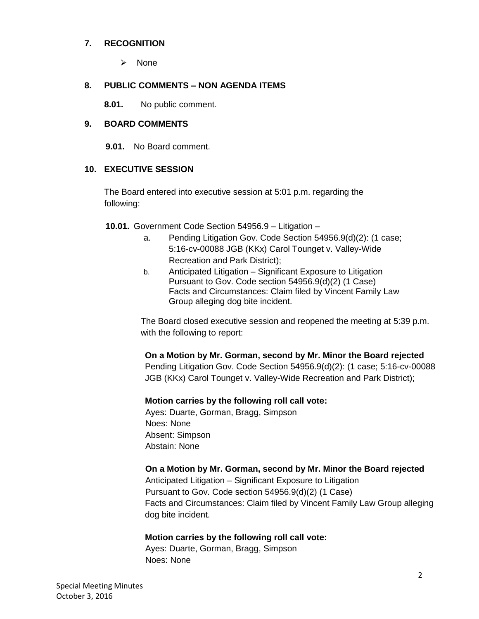#### **7. RECOGNITION**

 $\triangleright$  None

#### **8. PUBLIC COMMENTS – NON AGENDA ITEMS**

**8.01.** No public comment.

#### **9. BOARD COMMENTS**

**9.01.** No Board comment.

#### **10. EXECUTIVE SESSION**

The Board entered into executive session at 5:01 p.m. regarding the following:

**10.01.** Government Code Section 54956.9 – Litigation –

- a. Pending Litigation Gov. Code Section 54956.9(d)(2): (1 case; 5:16-cv-00088 JGB (KKx) Carol Tounget v. Valley-Wide Recreation and Park District);
- b. Anticipated Litigation Significant Exposure to Litigation Pursuant to Gov. Code section 54956.9(d)(2) (1 Case) Facts and Circumstances: Claim filed by Vincent Family Law Group alleging dog bite incident.

The Board closed executive session and reopened the meeting at 5:39 p.m. with the following to report:

**On a Motion by Mr. Gorman, second by Mr. Minor the Board rejected** Pending Litigation Gov. Code Section 54956.9(d)(2): (1 case; 5:16-cv-00088 JGB (KKx) Carol Tounget v. Valley-Wide Recreation and Park District);

#### **Motion carries by the following roll call vote:**

Ayes: Duarte, Gorman, Bragg, Simpson Noes: None Absent: Simpson Abstain: None

#### **On a Motion by Mr. Gorman, second by Mr. Minor the Board rejected**

Anticipated Litigation – Significant Exposure to Litigation Pursuant to Gov. Code section 54956.9(d)(2) (1 Case) Facts and Circumstances: Claim filed by Vincent Family Law Group alleging dog bite incident.

#### **Motion carries by the following roll call vote:**

Ayes: Duarte, Gorman, Bragg, Simpson Noes: None